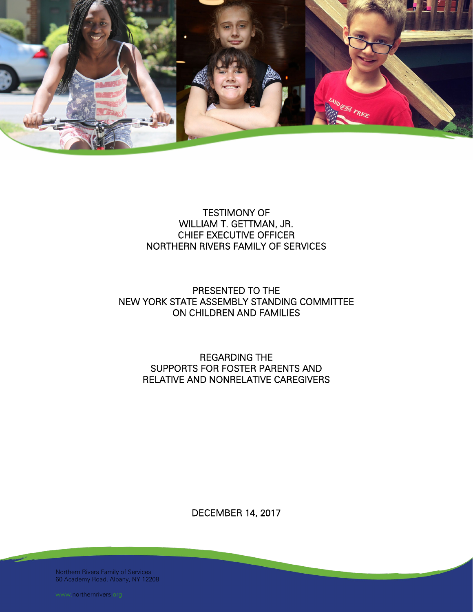

# TESTIMONY OF WILLIAM T. GETTMAN, JR. CHIEF EXECUTIVE OFFICER NORTHERN RIVERS FAMILY OF SERVICES

# PRESENTED TO THE NEW YORK STATE ASSEMBLY STANDING COMMITTEE ON CHILDREN AND FAMILIES

# REGARDING THE SUPPORTS FOR FOSTER PARENTS AND RELATIVE AND NONRELATIVE CAREGIVERS

DECEMBER 14, 2017

Northern Rivers Family of Services 60 Academy Road, Albany, NY 12208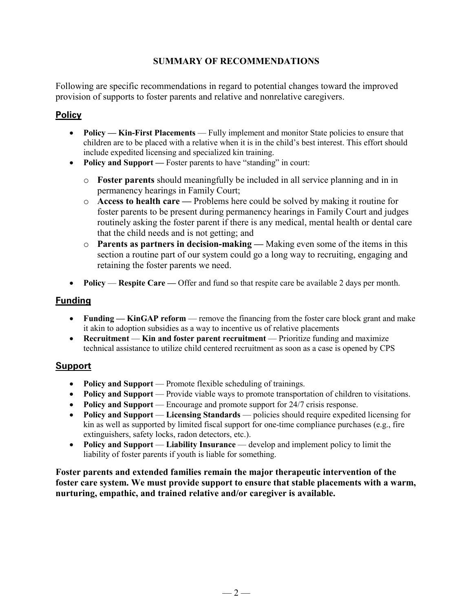# **SUMMARY OF RECOMMENDATIONS**

Following are specific recommendations in regard to potential changes toward the improved provision of supports to foster parents and relative and nonrelative caregivers.

# **Policy**

- **Policy Kin-First Placements** Fully implement and monitor State policies to ensure that children are to be placed with a relative when it is in the child's best interest. This effort should include expedited licensing and specialized kin training.
- **Policy and Support** Foster parents to have "standing" in court:
	- o **Foster parents** should meaningfully be included in all service planning and in in permanency hearings in Family Court;
	- o **Access to health care —** Problems here could be solved by making it routine for foster parents to be present during permanency hearings in Family Court and judges routinely asking the foster parent if there is any medical, mental health or dental care that the child needs and is not getting; and
	- o **Parents as partners in decision-making —** Making even some of the items in this section a routine part of our system could go a long way to recruiting, engaging and retaining the foster parents we need.
- **Policy Respite Care** Offer and fund so that respite care be available 2 days per month.

# **Funding**

- **Funding KinGAP reform** remove the financing from the foster care block grant and make it akin to adoption subsidies as a way to incentive us of relative placements
- **Recruitment Kin and foster parent recruitment** Prioritize funding and maximize technical assistance to utilize child centered recruitment as soon as a case is opened by CPS

# **Support**

- **Policy and Support** Promote flexible scheduling of trainings.
- **Policy and Support** Provide viable ways to promote transportation of children to visitations.
- **Policy and Support** Encourage and promote support for 24/7 crisis response.
- **Policy and Support Licensing Standards** policies should require expedited licensing for kin as well as supported by limited fiscal support for one-time compliance purchases (e.g., fire extinguishers, safety locks, radon detectors, etc.).
- **Policy and Support Liability Insurance** develop and implement policy to limit the liability of foster parents if youth is liable for something.

**Foster parents and extended families remain the major therapeutic intervention of the foster care system. We must provide support to ensure that stable placements with a warm, nurturing, empathic, and trained relative and/or caregiver is available.**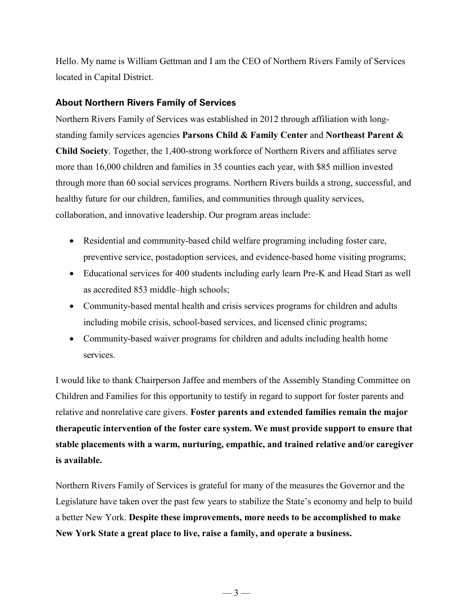Hello. My name is William Gettman and I am the CEO of Northern Rivers Family of Services located in Capital District.

### **About Northern Rivers Family of Services**

Northern Rivers Family of Services was established in 2012 through affiliation with longstanding family services agencies **Parsons Child & Family Center** and **Northeast Parent & Child Society**. Together, the 1,400-strong workforce of Northern Rivers and affiliates serve more than 16,000 children and families in 35 counties each year, with \$85 million invested through more than 60 social services programs. Northern Rivers builds a strong, successful, and healthy future for our children, families, and communities through quality services, collaboration, and innovative leadership. Our program areas include:

- Residential and community-based child welfare programing including foster care, preventive service, postadoption services, and evidence-based home visiting programs;
- Educational services for 400 students including early learn Pre-K and Head Start as well as accredited 853 middle–high schools;
- Community-based mental health and crisis services programs for children and adults including mobile crisis, school-based services, and licensed clinic programs;
- Community-based waiver programs for children and adults including health home services.

I would like to thank Chairperson Jaffee and members of the Assembly Standing Committee on Children and Families for this opportunity to testify in regard to support for foster parents and relative and nonrelative care givers. **Foster parents and extended families remain the major therapeutic intervention of the foster care system. We must provide support to ensure that stable placements with a warm, nurturing, empathic, and trained relative and/or caregiver is available.** 

Northern Rivers Family of Services is grateful for many of the measures the Governor and the Legislature have taken over the past few years to stabilize the State's economy and help to build a better New York. **Despite these improvements, more needs to be accomplished to make New York State a great place to live, raise a family, and operate a business.**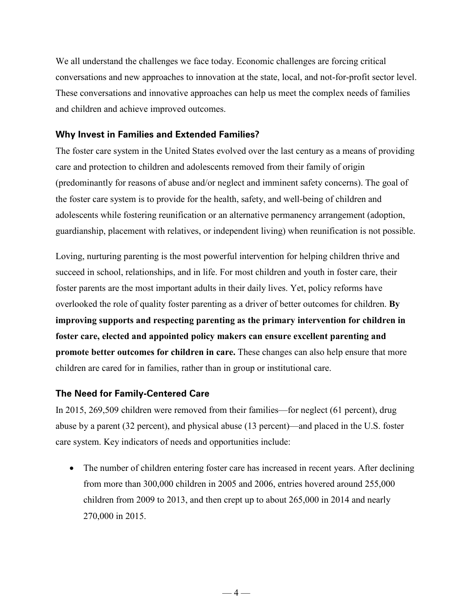We all understand the challenges we face today. Economic challenges are forcing critical conversations and new approaches to innovation at the state, local, and not-for-profit sector level. These conversations and innovative approaches can help us meet the complex needs of families and children and achieve improved outcomes.

#### **Why Invest in Families and Extended Families?**

The foster care system in the United States evolved over the last century as a means of providing care and protection to children and adolescents removed from their family of origin (predominantly for reasons of abuse and/or neglect and imminent safety concerns). The goal of the foster care system is to provide for the health, safety, and well-being of children and adolescents while fostering reunification or an alternative permanency arrangement (adoption, guardianship, placement with relatives, or independent living) when reunification is not possible.

Loving, nurturing parenting is the most powerful intervention for helping children thrive and succeed in school, relationships, and in life. For most children and youth in foster care, their foster parents are the most important adults in their daily lives. Yet, policy reforms have overlooked the role of quality foster parenting as a driver of better outcomes for children. **By improving supports and respecting parenting as the primary intervention for children in foster care, elected and appointed policy makers can ensure excellent parenting and promote better outcomes for children in care.** These changes can also help ensure that more children are cared for in families, rather than in group or institutional care.

#### **The Need for Family-Centered Care**

In 2015, 269,509 children were removed from their families—for neglect (61 percent), drug abuse by a parent (32 percent), and physical abuse (13 percent)—and placed in the U.S. foster care system. Key indicators of needs and opportunities include:

• The number of children entering foster care has increased in recent years. After declining from more than 300,000 children in 2005 and 2006, entries hovered around 255,000 children from 2009 to 2013, and then crept up to about 265,000 in 2014 and nearly 270,000 in 2015.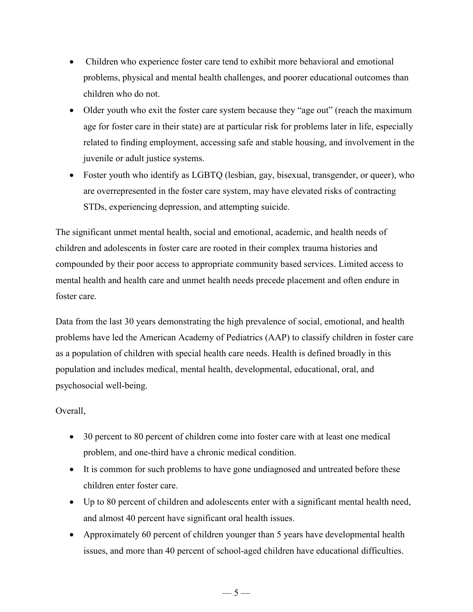- Children who experience foster care tend to exhibit more behavioral and emotional problems, physical and mental health challenges, and poorer educational outcomes than children who do not.
- Older youth who exit the foster care system because they "age out" (reach the maximum age for foster care in their state) are at particular risk for problems later in life, especially related to finding employment, accessing safe and stable housing, and involvement in the juvenile or adult justice systems.
- Foster youth who identify as LGBTQ (lesbian, gay, bisexual, transgender, or queer), who are overrepresented in the foster care system, may have elevated risks of contracting STDs, experiencing depression, and attempting suicide.

The significant unmet mental health, social and emotional, academic, and health needs of children and adolescents in foster care are rooted in their complex trauma histories and compounded by their poor access to appropriate community based services. Limited access to mental health and health care and unmet health needs precede placement and often endure in foster care.

Data from the last 30 years demonstrating the high prevalence of social, emotional, and health problems have led the American Academy of Pediatrics (AAP) to classify children in foster care as a population of children with special health care needs. Health is defined broadly in this population and includes medical, mental health, developmental, educational, oral, and psychosocial well-being.

Overall,

- 30 percent to 80 percent of children come into foster care with at least one medical problem, and one-third have a chronic medical condition.
- It is common for such problems to have gone undiagnosed and untreated before these children enter foster care.
- Up to 80 percent of children and adolescents enter with a significant mental health need, and almost 40 percent have significant oral health issues.
- Approximately 60 percent of children younger than 5 years have developmental health issues, and more than 40 percent of school-aged children have educational difficulties.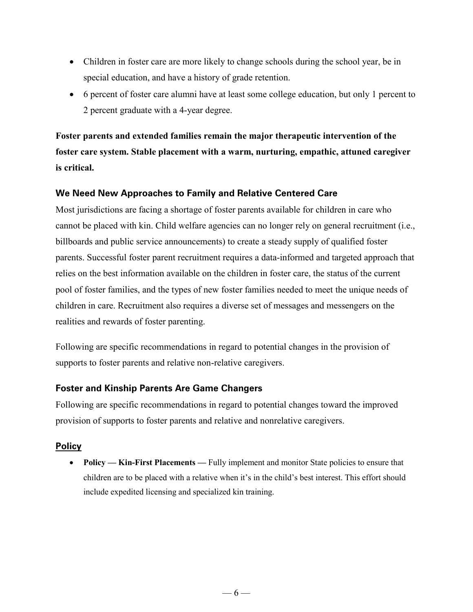- Children in foster care are more likely to change schools during the school year, be in special education, and have a history of grade retention.
- 6 percent of foster care alumni have at least some college education, but only 1 percent to 2 percent graduate with a 4-year degree.

**Foster parents and extended families remain the major therapeutic intervention of the foster care system. Stable placement with a warm, nurturing, empathic, attuned caregiver is critical.**

#### **We Need New Approaches to Family and Relative Centered Care**

Most jurisdictions are facing a shortage of foster parents available for children in care who cannot be placed with kin. Child welfare agencies can no longer rely on general recruitment (i.e., billboards and public service announcements) to create a steady supply of qualified foster parents. Successful foster parent recruitment requires a data-informed and targeted approach that relies on the best information available on the children in foster care, the status of the current pool of foster families, and the types of new foster families needed to meet the unique needs of children in care. Recruitment also requires a diverse set of messages and messengers on the realities and rewards of foster parenting.

Following are specific recommendations in regard to potential changes in the provision of supports to foster parents and relative non-relative caregivers.

#### **Foster and Kinship Parents Are Game Changers**

Following are specific recommendations in regard to potential changes toward the improved provision of supports to foster parents and relative and nonrelative caregivers.

#### **Policy**

• **Policy — Kin-First Placements** — Fully implement and monitor State policies to ensure that children are to be placed with a relative when it's in the child's best interest. This effort should include expedited licensing and specialized kin training.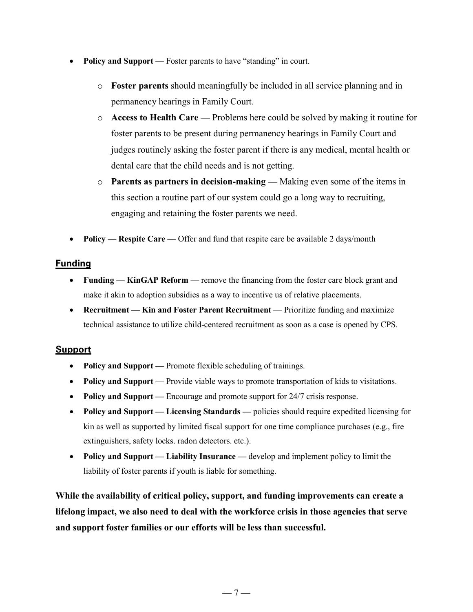- **Policy and Support** Foster parents to have "standing" in court.
	- o **Foster parents** should meaningfully be included in all service planning and in permanency hearings in Family Court.
	- o **Access to Health Care —** Problems here could be solved by making it routine for foster parents to be present during permanency hearings in Family Court and judges routinely asking the foster parent if there is any medical, mental health or dental care that the child needs and is not getting.
	- o **Parents as partners in decision-making —** Making even some of the items in this section a routine part of our system could go a long way to recruiting, engaging and retaining the foster parents we need.
- **Policy — Respite Care —** Offer and fund that respite care be available 2 days/month

### **Funding**

- **Funding KinGAP Reform remove the financing from the foster care block grant and** make it akin to adoption subsidies as a way to incentive us of relative placements.
- **Recruitment Kin and Foster Parent Recruitment Prioritize funding and maximize** technical assistance to utilize child-centered recruitment as soon as a case is opened by CPS.

# **Support**

- **Policy and Support** Promote flexible scheduling of trainings.
- **Policy and Support** Provide viable ways to promote transportation of kids to visitations.
- **Policy and Support** Encourage and promote support for 24/7 crisis response.
- **Policy and Support — Licensing Standards —** policies should require expedited licensing for kin as well as supported by limited fiscal support for one time compliance purchases (e.g., fire extinguishers, safety locks. radon detectors. etc.).
- **Policy and Support — Liability Insurance —** develop and implement policy to limit the liability of foster parents if youth is liable for something.

**While the availability of critical policy, support, and funding improvements can create a lifelong impact, we also need to deal with the workforce crisis in those agencies that serve and support foster families or our efforts will be less than successful.**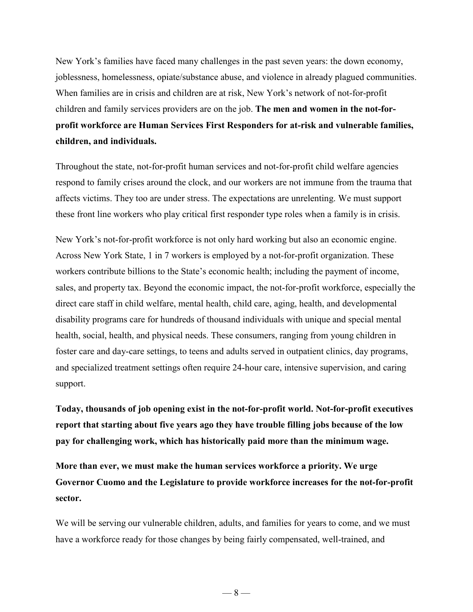New York's families have faced many challenges in the past seven years: the down economy, joblessness, homelessness, opiate/substance abuse, and violence in already plagued communities. When families are in crisis and children are at risk, New York's network of not-for-profit children and family services providers are on the job. **The men and women in the not-forprofit workforce are Human Services First Responders for at-risk and vulnerable families, children, and individuals.**

Throughout the state, not-for-profit human services and not-for-profit child welfare agencies respond to family crises around the clock, and our workers are not immune from the trauma that affects victims. They too are under stress. The expectations are unrelenting. We must support these front line workers who play critical first responder type roles when a family is in crisis.

New York's not-for-profit workforce is not only hard working but also an economic engine. Across New York State, 1 in 7 workers is employed by a not-for-profit organization. These workers contribute billions to the State's economic health; including the payment of income, sales, and property tax. Beyond the economic impact, the not-for-profit workforce, especially the direct care staff in child welfare, mental health, child care, aging, health, and developmental disability programs care for hundreds of thousand individuals with unique and special mental health, social, health, and physical needs. These consumers, ranging from young children in foster care and day-care settings, to teens and adults served in outpatient clinics, day programs, and specialized treatment settings often require 24-hour care, intensive supervision, and caring support.

**Today, thousands of job opening exist in the not-for-profit world. Not-for-profit executives report that starting about five years ago they have trouble filling jobs because of the low pay for challenging work, which has historically paid more than the minimum wage.** 

**More than ever, we must make the human services workforce a priority. We urge Governor Cuomo and the Legislature to provide workforce increases for the not-for-profit sector.** 

We will be serving our vulnerable children, adults, and families for years to come, and we must have a workforce ready for those changes by being fairly compensated, well-trained, and